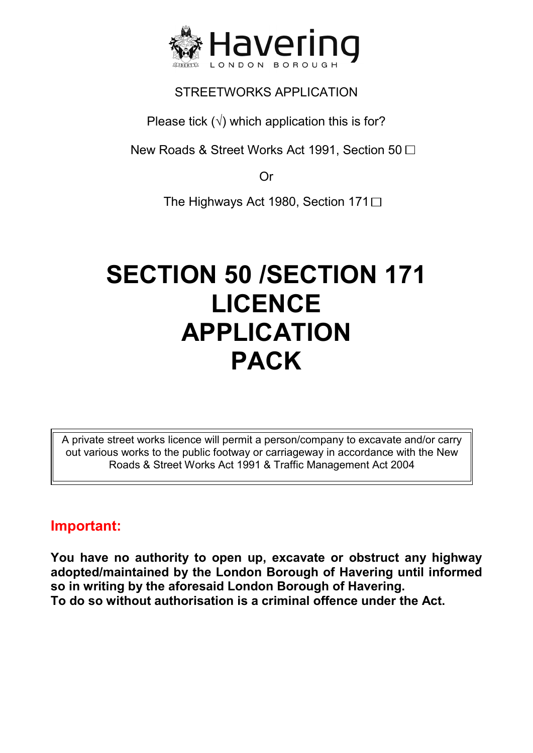

Please tick  $(\sqrt{})$  which application this is for?

New Roads & Street Works Act 1991, Section 50  $\Box$ 

Or

The Highways Act 1980, Section 171 $\Box$ 

# **SECTION 50 /SECTION 171 LICENCE APPLICATION PACK**

A private street works licence will permit a person/company to excavate and/or carry out various works to the public footway or carriageway in accordance with the New Roads & Street Works Act 1991 & Traffic Management Act 2004

# **Important:**

**You have no authority to open up, excavate or obstruct any highway adopted/maintained by the London Borough of Havering until informed so in writing by the aforesaid London Borough of Havering. To do so without authorisation is a criminal offence under the Act.**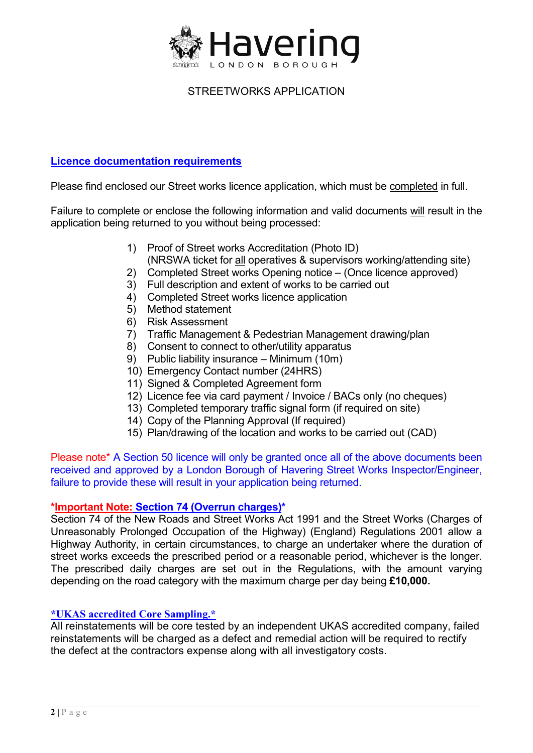

## **Licence documentation requirements**

Please find enclosed our Street works licence application, which must be completed in full.

Failure to complete or enclose the following information and valid documents will result in the application being returned to you without being processed:

- 1) Proof of Street works Accreditation (Photo ID) (NRSWA ticket for all operatives & supervisors working/attending site)
- 2) Completed Street works Opening notice (Once licence approved)
- 3) Full description and extent of works to be carried out
- 4) Completed Street works licence application
- 5) Method statement
- 6) Risk Assessment
- 7) Traffic Management & Pedestrian Management drawing/plan
- 8) Consent to connect to other/utility apparatus
- 9) Public liability insurance Minimum (10m)
- 10) Emergency Contact number (24HRS)
- 11) Signed & Completed Agreement form
- 12) Licence fee via card payment / Invoice / BACs only (no cheques)
- 13) Completed temporary traffic signal form (if required on site)
- 14) Copy of the Planning Approval (If required)
- 15) Plan/drawing of the location and works to be carried out (CAD)

Please note\* A Section 50 licence will only be granted once all of the above documents been received and approved by a London Borough of Havering Street Works Inspector/Engineer, failure to provide these will result in your application being returned.

#### **\*Important Note: Section 74 (Overrun charges)\***

 Unreasonably Prolonged Occupation of the Highway) (England) Regulations 2001 allow a Section 74 of the New Roads and Street Works Act 1991 and the Street Works (Charges of Highway Authority, in certain circumstances, to charge an undertaker where the duration of street works exceeds the prescribed period or a reasonable period, whichever is the longer. The prescribed daily charges are set out in the Regulations, with the amount varying depending on the road category with the maximum charge per day being **£10,000.** 

#### **\*UKAS accredited Core Sampling.\***

All reinstatements will be core tested by an independent UKAS accredited company, failed reinstatements will be charged as a defect and remedial action will be required to rectify the defect at the contractors expense along with all investigatory costs.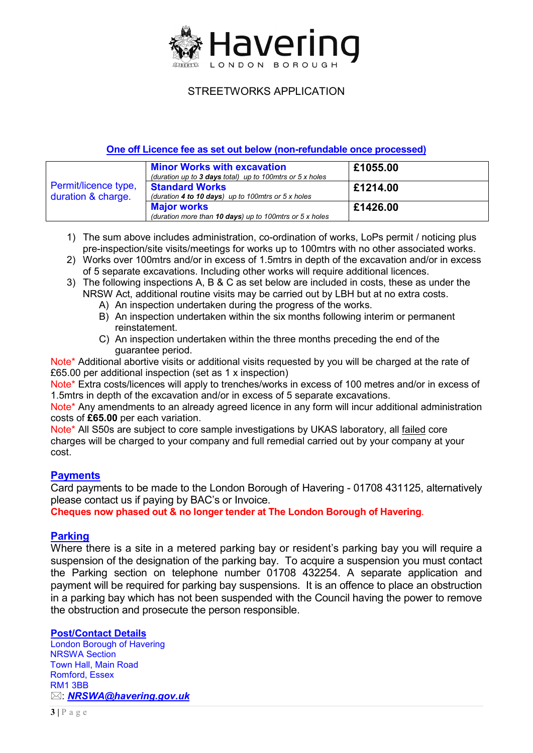

#### **One off Licence fee as set out below (non-refundable once processed)**

|                                            | <b>Minor Works with excavation</b><br>(duration up to 3 days total) up to 100 mtrs or $5 \times$ holes | £1055.00 |
|--------------------------------------------|--------------------------------------------------------------------------------------------------------|----------|
| Permit/licence type,<br>duration & charge. | <b>Standard Works</b><br>(duration 4 to 10 days) up to 100mtrs or $5 \times$ holes                     | £1214.00 |
|                                            | <b>Major works</b><br>(duration more than 10 days) up to 100 mtrs or $5x$ holes                        | £1426.00 |

- 1) The sum above includes administration, co-ordination of works, LoPs permit / noticing plus pre-inspection/site visits/meetings for works up to 100mtrs with no other associated works.
- 2) Works over 100mtrs and/or in excess of 1.5mtrs in depth of the excavation and/or in excess of 5 separate excavations. Including other works will require additional licences.
- 3) The following inspections A, B & C as set below are included in costs, these as under the NRSW Act, additional routine visits may be carried out by LBH but at no extra costs.
	- A) An inspection undertaken during the progress of the works.
	- B) An inspection undertaken within the six months following interim or permanent reinstatement.
	- C) An inspection undertaken within the three months preceding the end of the guarantee period.

 £65.00 per additional inspection (set as 1 x inspection) Note\* Additional abortive visits or additional visits requested by you will be charged at the rate of

Note\* Extra costs/licences will apply to trenches/works in excess of 100 metres and/or in excess of 1.5mtrs in depth of the excavation and/or in excess of 5 separate excavations.

Note\* Any amendments to an already agreed licence in any form will incur additional administration costs of **£65.00** per each variation.

Note\* All S50s are subject to core sample investigations by UKAS laboratory, all failed core charges will be charged to your company and full remedial carried out by your company at your cost.

#### **Payments**

Card payments to be made to the London Borough of Havering - 01708 431125, alternatively please contact us if paying by BAC's or Invoice.

**Cheques now phased out & no longer tender at The London Borough of Havering**.

#### **Parking**

Where there is a site in a metered parking bay or resident's parking bay you will require a suspension of the designation of the parking bay. To acquire a suspension you must contact the Parking section on telephone number 01708 432254. A separate application and payment will be required for parking bay suspensions. It is an offence to place an obstruction in a parking bay which has not been suspended with the Council having the power to remove the obstruction and prosecute the person responsible.

#### **Post/Contact Details**

London Borough of Havering NRSWA Section Town Hall, Main Road Romford, Essex RM1 3BB : *NRSWA@havering.gov.uk*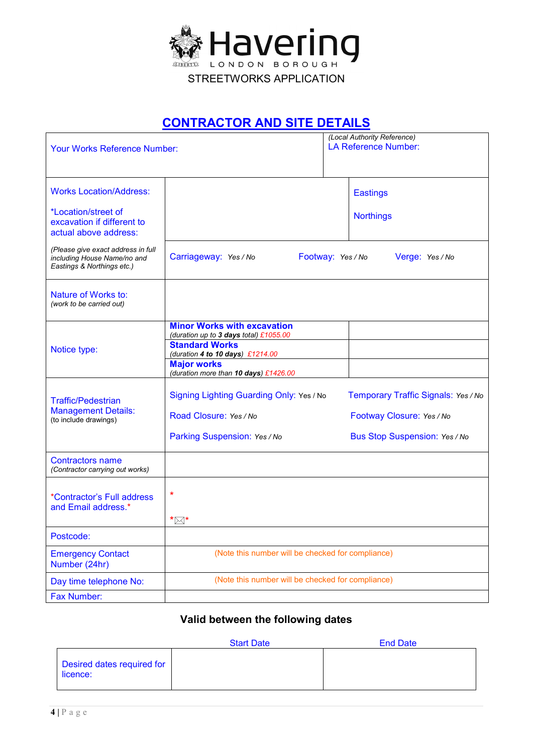

# **CONTRACTOR AND SITE DETAILS**

| <b>Your Works Reference Number:</b>                                                             |                                                                                                                                                                                                          |  | (Local Authority Reference)<br><b>LA Reference Number:</b>                                        |
|-------------------------------------------------------------------------------------------------|----------------------------------------------------------------------------------------------------------------------------------------------------------------------------------------------------------|--|---------------------------------------------------------------------------------------------------|
| <b>Works Location/Address:</b>                                                                  |                                                                                                                                                                                                          |  | <b>Eastings</b>                                                                                   |
| *Location/street of<br>excavation if different to<br>actual above address:                      |                                                                                                                                                                                                          |  | <b>Northings</b>                                                                                  |
| (Please give exact address in full<br>including House Name/no and<br>Eastings & Northings etc.) | Carriageway: Yes / No<br>Footway: Yes / No                                                                                                                                                               |  | Verge: Yes / No                                                                                   |
| Nature of Works to:<br>(work to be carried out)                                                 |                                                                                                                                                                                                          |  |                                                                                                   |
| Notice type:                                                                                    | <b>Minor Works with excavation</b><br>(duration up to 3 days total) £1055.00<br><b>Standard Works</b><br>(duration 4 to 10 days) £1214.00<br><b>Major works</b><br>(duration more than 10 days) £1426.00 |  |                                                                                                   |
| <b>Traffic/Pedestrian</b><br><b>Management Details:</b><br>(to include drawings)                | Signing Lighting Guarding Only: Yes / No<br>Road Closure: Yes / No<br>Parking Suspension: Yes / No                                                                                                       |  | Temporary Traffic Signals: Yes / No<br>Footway Closure: Yes / No<br>Bus Stop Suspension: Yes / No |
| <b>Contractors name</b><br>(Contractor carrying out works)                                      |                                                                                                                                                                                                          |  |                                                                                                   |
| *Contractor's Full address<br>and Email address.*                                               | *<br>*⊠*                                                                                                                                                                                                 |  |                                                                                                   |
| Postcode:                                                                                       |                                                                                                                                                                                                          |  |                                                                                                   |
| <b>Emergency Contact</b><br>Number (24hr)                                                       | (Note this number will be checked for compliance)                                                                                                                                                        |  |                                                                                                   |
| Day time telephone No:                                                                          | (Note this number will be checked for compliance)                                                                                                                                                        |  |                                                                                                   |
| <b>Fax Number:</b>                                                                              |                                                                                                                                                                                                          |  |                                                                                                   |

## **Valid between the following dates**

|                                        | <b>Start Date</b> | <b>End Date</b> |
|----------------------------------------|-------------------|-----------------|
| Desired dates required for<br>licence: |                   |                 |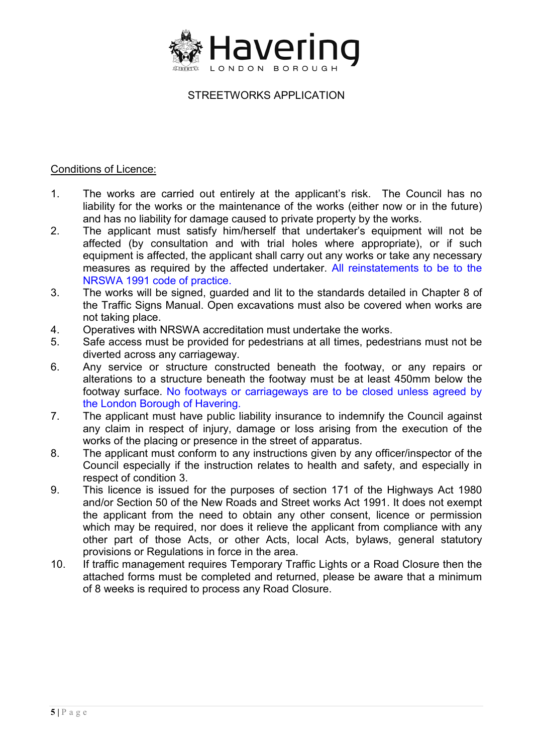

#### Conditions of Licence:

- liability for the works or the maintenance of the works (either now or in the future) 1. The works are carried out entirely at the applicant's risk. The Council has no and has no liability for damage caused to private property by the works.
- affected (by consultation and with trial holes where appropriate), or if such 2. The applicant must satisfy him/herself that undertaker's equipment will not be equipment is affected, the applicant shall carry out any works or take any necessary measures as required by the affected undertaker. All reinstatements to be to the NRSWA 1991 code of practice.
- 3. The works will be signed, guarded and lit to the standards detailed in Chapter 8 of the Traffic Signs Manual. Open excavations must also be covered when works are not taking place.
- 4. Operatives with NRSWA accreditation must undertake the works.
- 5. Safe access must be provided for pedestrians at all times, pedestrians must not be diverted across any carriageway.
- 6. Any service or structure constructed beneath the footway, or any repairs or alterations to a structure beneath the footway must be at least 450mm below the footway surface. No footways or carriageways are to be closed unless agreed by the London Borough of Havering.
- 7. The applicant must have public liability insurance to indemnify the Council against any claim in respect of injury, damage or loss arising from the execution of the works of the placing or presence in the street of apparatus.
- 8. The applicant must conform to any instructions given by any officer/inspector of the Council especially if the instruction relates to health and safety, and especially in respect of condition 3.
- 9. This licence is issued for the purposes of section 171 of the Highways Act 1980 and/or Section 50 of the New Roads and Street works Act 1991. It does not exempt the applicant from the need to obtain any other consent, licence or permission which may be required, nor does it relieve the applicant from compliance with any other part of those Acts, or other Acts, local Acts, bylaws, general statutory provisions or Regulations in force in the area.
- 10. If traffic management requires Temporary Traffic Lights or a Road Closure then the attached forms must be completed and returned, please be aware that a minimum of 8 weeks is required to process any Road Closure.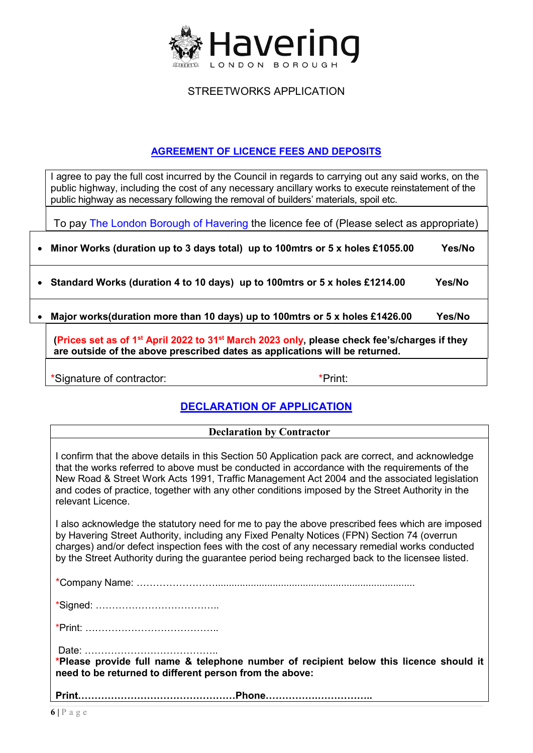

## **AGREEMENT OF LICENCE FEES AND DEPOSITS**

I agree to pay the full cost incurred by the Council in regards to carrying out any said works, on the public highway, including the cost of any necessary ancillary works to execute reinstatement of the public highway as necessary following the removal of builders' materials, spoil etc.

To pay The London Borough of Havering the licence fee of (Please select as appropriate)

| • Minor Works (duration up to 3 days total) up to 100mtrs or 5 x holes £1055.00                                                                                                                     | Yes/No |
|-----------------------------------------------------------------------------------------------------------------------------------------------------------------------------------------------------|--------|
| • Standard Works (duration 4 to 10 days) up to 100 mtrs or 5 x holes £1214.00                                                                                                                       | Yes/No |
| Major works (duration more than 10 days) up to 100 mtrs or 5 x holes £1426.00                                                                                                                       | Yes/No |
| (Prices set as of 1 <sup>st</sup> April 2022 to 31 <sup>st</sup> March 2023 only, please check fee's/charges if they<br>are outside of the above prescribed dates as applications will be returned. |        |
| *Print:<br>*Signature of contractor:                                                                                                                                                                |        |

## **DECLARATION OF APPLICATION**

#### **Declaration by Contractor**

I confirm that the above details in this Section 50 Application pack are correct, and acknowledge that the works referred to above must be conducted in accordance with the requirements of the New Road & Street Work Acts 1991, Traffic Management Act 2004 and the associated legislation and codes of practice, together with any other conditions imposed by the Street Authority in the relevant Licence.

 charges) and/or defect inspection fees with the cost of any necessary remedial works conducted I also acknowledge the statutory need for me to pay the above prescribed fees which are imposed by Havering Street Authority, including any Fixed Penalty Notices (FPN) Section 74 (overrun by the Street Authority during the guarantee period being recharged back to the licensee listed.

\*Company Name: …………………….........................................................................

\*Signed: ………………………………..

\*Print: …………………………………..

Date: …………………………………..

**\*Please provide full name & telephone number of recipient below this licence should it need to be returned to different person from the above:** 

**Print…………………………………………Phone…………….……………..**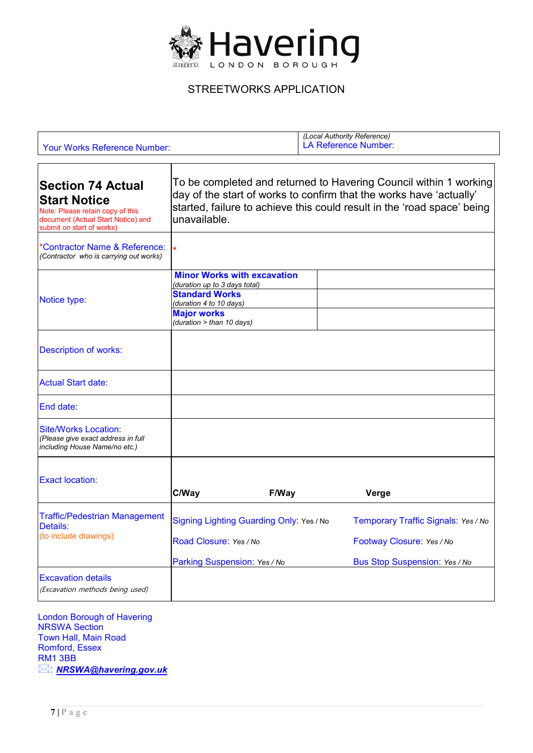

| <b>Your Works Reference Number:</b>                                                                                                                    |                                                                                                                                        |                                                                          | (Local Authority Reference)<br><b>LA Reference Number:</b>                                                                                                                                                          |
|--------------------------------------------------------------------------------------------------------------------------------------------------------|----------------------------------------------------------------------------------------------------------------------------------------|--------------------------------------------------------------------------|---------------------------------------------------------------------------------------------------------------------------------------------------------------------------------------------------------------------|
| <b>Section 74 Actual</b><br><b>Start Notice</b><br>Note: Please retain copy of this<br>document (Actual Start Notice) and<br>submit on start of works) | lunavailable.                                                                                                                          |                                                                          | To be completed and returned to Havering Council within 1 working<br>day of the start of works to confirm that the works have 'actually'<br>started, failure to achieve this could result in the 'road space' being |
| 'Contractor Name & Reference:<br>(Contractor who is carrying out works)                                                                                | $\star$                                                                                                                                |                                                                          |                                                                                                                                                                                                                     |
| Notice type:                                                                                                                                           | (duration up to 3 days total)<br><b>Standard Works</b><br>(duration 4 to 10 days)<br><b>Major works</b><br>(duration $>$ than 10 days) | <b>Minor Works with excavation</b>                                       |                                                                                                                                                                                                                     |
| <b>Description of works:</b>                                                                                                                           |                                                                                                                                        |                                                                          |                                                                                                                                                                                                                     |
| <b>Actual Start date:</b>                                                                                                                              |                                                                                                                                        |                                                                          |                                                                                                                                                                                                                     |
| End date:                                                                                                                                              |                                                                                                                                        |                                                                          |                                                                                                                                                                                                                     |
| <b>Site/Works Location:</b><br>(Please give exact address in full<br>including House Name/no etc.)                                                     |                                                                                                                                        |                                                                          |                                                                                                                                                                                                                     |
| <b>Exact location:</b>                                                                                                                                 | C/Way                                                                                                                                  | F/Way                                                                    | Verge                                                                                                                                                                                                               |
| <b>Traffic/Pedestrian Management</b><br>Details:<br>(to include drawings)                                                                              | Road Closure: Yes / No                                                                                                                 | Signing Lighting Guarding Only: Yes / No<br>Parking Suspension: Yes / No | Temporary Traffic Signals: Yes / No<br>Footway Closure: Yes / No<br>Bus Stop Suspension: Yes / No                                                                                                                   |
| <b>Excavation details</b><br>(Excavation methods being used)                                                                                           |                                                                                                                                        |                                                                          |                                                                                                                                                                                                                     |

London Borough of Havering NRSWA Section Town Hall, Main Road Romford, Essex RM1 3BB : *[NRSWA@havering.gov.uk](mailto:NRSWA@havering.gov.uk)*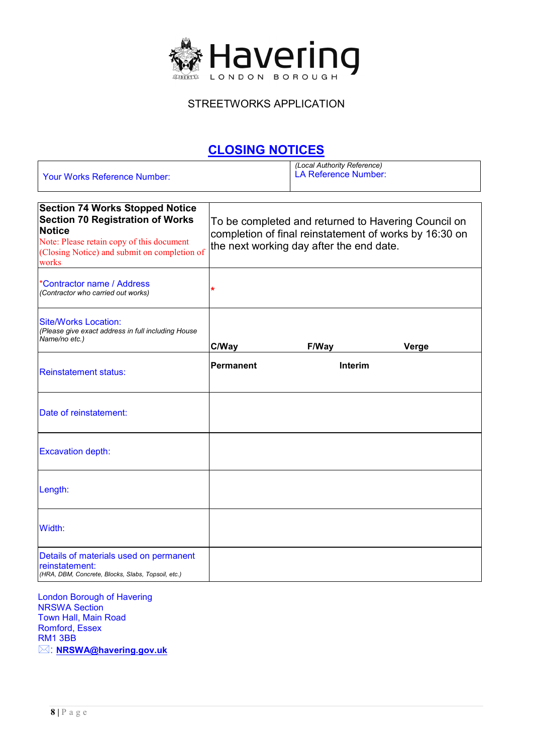

## **CLOSING NOTICES**

|                                     | (Local Authority Reference) |
|-------------------------------------|-----------------------------|
| <b>Your Works Reference Number:</b> | LA Reference Number:        |
|                                     |                             |

| <b>Section 74 Works Stopped Notice</b><br><b>Section 70 Registration of Works</b><br><b>Notice</b><br>Note: Please retain copy of this document<br>(Closing Notice) and submit on completion of<br>works | To be completed and returned to Havering Council on<br>completion of final reinstatement of works by 16:30 on<br>the next working day after the end date. |         |       |
|----------------------------------------------------------------------------------------------------------------------------------------------------------------------------------------------------------|-----------------------------------------------------------------------------------------------------------------------------------------------------------|---------|-------|
| *Contractor name / Address<br>(Contractor who carried out works)                                                                                                                                         | *                                                                                                                                                         |         |       |
| <b>Site/Works Location:</b><br>(Please give exact address in full including House<br>Name/no etc.)                                                                                                       | C/Way                                                                                                                                                     | F/Way   | Verge |
| <b>Reinstatement status:</b>                                                                                                                                                                             | Permanent                                                                                                                                                 | Interim |       |
| Date of reinstatement:                                                                                                                                                                                   |                                                                                                                                                           |         |       |
| <b>Excavation depth:</b>                                                                                                                                                                                 |                                                                                                                                                           |         |       |
| Length:                                                                                                                                                                                                  |                                                                                                                                                           |         |       |
| Width:                                                                                                                                                                                                   |                                                                                                                                                           |         |       |
| Details of materials used on permanent<br>reinstatement:<br>(HRA, DBM, Concrete, Blocks, Slabs, Topsoil, etc.)                                                                                           |                                                                                                                                                           |         |       |

London Borough of Havering NRSWA Section Town Hall, Main Road Romford, Essex RM1 3BB : **[NRSWA@havering.gov.uk](mailto:NRSWA@havering.gov.uk)**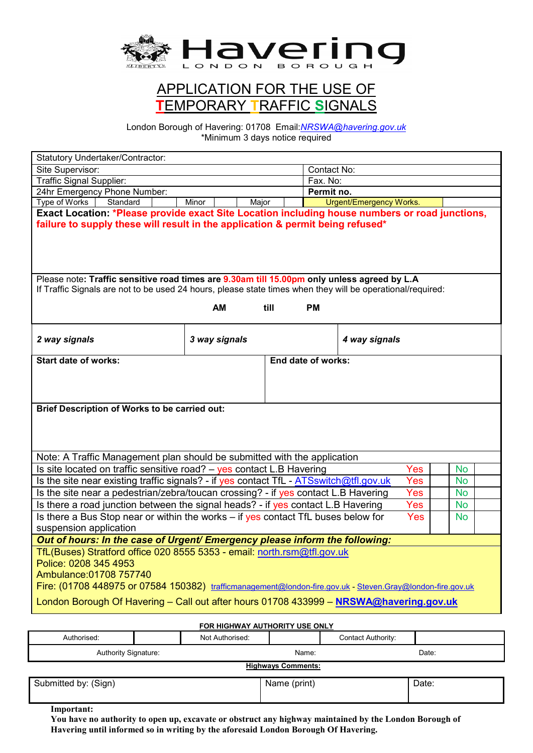

# APPLICATION FOR THE USE OF **T**EMPORARY **T**RAFFIC **S**IGNALS

London Borough of Havering: 01708 Email:*NRSWA@havering.gov.uk*  \*Minimum 3 days notice required

| Statutory Undertaker/Contractor:                                                                                                                                                                                                          |               |          |                    |                         |     |           |  |
|-------------------------------------------------------------------------------------------------------------------------------------------------------------------------------------------------------------------------------------------|---------------|----------|--------------------|-------------------------|-----|-----------|--|
| Site Supervisor:                                                                                                                                                                                                                          | Contact No:   |          |                    |                         |     |           |  |
| Traffic Signal Supplier:                                                                                                                                                                                                                  |               | Fax. No: |                    |                         |     |           |  |
| 24hr Emergency Phone Number:                                                                                                                                                                                                              |               |          | Permit no.         |                         |     |           |  |
| Type of Works<br>Standard                                                                                                                                                                                                                 | Minor         | Major    |                    | Urgent/Emergency Works. |     |           |  |
| Exact Location: *Please provide exact Site Location including house numbers or road junctions,<br>failure to supply these will result in the application & permit being refused*                                                          |               |          |                    |                         |     |           |  |
| Please note: Traffic sensitive road times are 9.30am till 15.00pm only unless agreed by L.A<br>If Traffic Signals are not to be used 24 hours, please state times when they will be operational/required:                                 |               |          |                    |                         |     |           |  |
|                                                                                                                                                                                                                                           |               |          |                    |                         |     |           |  |
|                                                                                                                                                                                                                                           | AM            | till     | <b>PM</b>          |                         |     |           |  |
| 2 way signals                                                                                                                                                                                                                             | 3 way signals |          |                    | 4 way signals           |     |           |  |
| <b>Start date of works:</b>                                                                                                                                                                                                               |               |          | End date of works: |                         |     |           |  |
| <b>Brief Description of Works to be carried out:</b>                                                                                                                                                                                      |               |          |                    |                         |     |           |  |
|                                                                                                                                                                                                                                           |               |          |                    |                         |     |           |  |
| Note: A Traffic Management plan should be submitted with the application                                                                                                                                                                  |               |          |                    |                         |     |           |  |
| Is site located on traffic sensitive road? - yes contact L.B Havering                                                                                                                                                                     |               |          |                    |                         | Yes | <b>No</b> |  |
| Is the site near existing traffic signals? - if yes contact TfL - ATSswitch@tfl.gov.uk<br>Yes<br><b>No</b>                                                                                                                                |               |          |                    |                         |     |           |  |
| Is the site near a pedestrian/zebra/toucan crossing? - if yes contact L.B Havering<br>Yes<br><b>No</b>                                                                                                                                    |               |          |                    |                         |     |           |  |
| Is there a road junction between the signal heads? - if yes contact L.B Havering                                                                                                                                                          |               |          |                    |                         | Yes | <b>No</b> |  |
| Is there a Bus Stop near or within the works $-$ if yes contact TfL buses below for<br>Yes<br><b>No</b><br>suspension application                                                                                                         |               |          |                    |                         |     |           |  |
| Out of hours: In the case of Urgent/ Emergency please inform the following:                                                                                                                                                               |               |          |                    |                         |     |           |  |
| TfL(Buses) Stratford office 020 8555 5353 - email: north.rsm@tfl.gov.uk<br>Police: 0208 345 4953<br>Ambulance: 01708 757740<br>Fire: (01708 448975 or 07584 150382) trafficmanagement@london-fire.gov.uk - Steven.Gray@london-fire.gov.uk |               |          |                    |                         |     |           |  |
| London Borough Of Havering - Call out after hours 01708 433999 - NRSWA@havering.gov.uk                                                                                                                                                    |               |          |                    |                         |     |           |  |
| <b>FOR HIGHWAY AUTHORITY USE ONLY</b>                                                                                                                                                                                                     |               |          |                    |                         |     |           |  |

| Authorised:                 |  | Not Authorised: |  | Contact Authority: |  |
|-----------------------------|--|-----------------|--|--------------------|--|
| <b>Authority Signature:</b> |  | Name:           |  | Date:              |  |
| <b>Highways Comments:</b>   |  |                 |  |                    |  |
| Submitted by: (Sign)        |  | Name (print)    |  | Date:              |  |
|                             |  |                 |  |                    |  |

**Important:**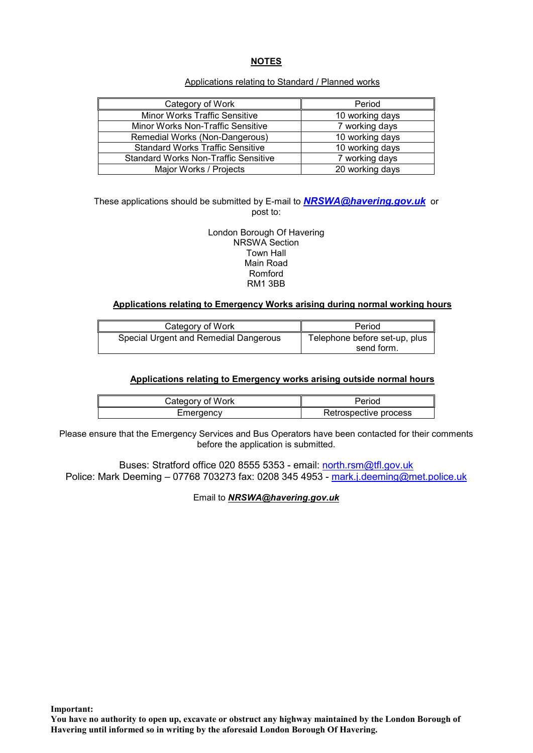#### **NOTES**

#### Applications relating to Standard / Planned works

| Category of Work                            | Period          |
|---------------------------------------------|-----------------|
| <b>Minor Works Traffic Sensitive</b>        | 10 working days |
| Minor Works Non-Traffic Sensitive           | 7 working days  |
| Remedial Works (Non-Dangerous)              | 10 working days |
| <b>Standard Works Traffic Sensitive</b>     | 10 working days |
| <b>Standard Works Non-Traffic Sensitive</b> | 7 working days  |
| Major Works / Projects                      | 20 working days |

These applications should be submitted by E-mail to *NRSWA@havering.gov.uk* or post to:

> London Borough Of Havering NRSWA Section Town Hall Main Road Romford RM1 3BB

#### **Applications relating to Emergency Works arising during normal working hours**

| Category of Work                      | Period                                      |
|---------------------------------------|---------------------------------------------|
| Special Urgent and Remedial Dangerous | Telephone before set-up, plus<br>send form. |

#### **Applications relating to Emergency works arising outside normal hours**

| Category of Work | Period                |
|------------------|-----------------------|
| Emergency        | Retrospective process |

Please ensure that the Emergency Services and Bus Operators have been contacted for their comments before the application is submitted.

Buses: Stratford office 020 8555 5353 - email: north.rsm@tfl.gov.uk Police: Mark Deeming - 07768 703273 fax: 0208 345 4953 - mark.j.deeming@met.police.uk

Email to *NRSWA@havering.gov.uk* 

**Important:**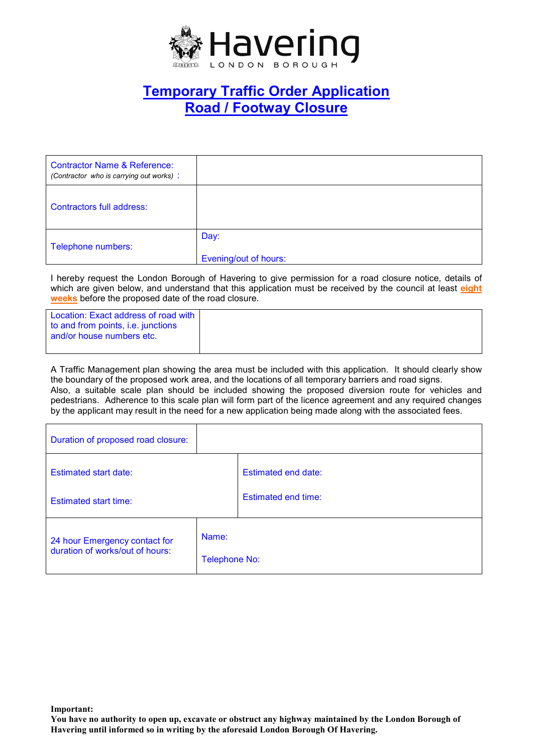

# **Temporary Traffic Order Application Road / Footway Closure**

| <b>Contractor Name &amp; Reference:</b><br>(Contractor who is carrying out works): |                               |
|------------------------------------------------------------------------------------|-------------------------------|
| Contractors full address:                                                          |                               |
| Telephone numbers:                                                                 | Day:<br>Evening/out of hours: |

I hereby request the London Borough of Havering to give permission for a road closure notice, details of which are given below, and understand that this application must be received by the council at least **eight weeks** before the proposed date of the road closure.

Location: Exact address of road with to and from points, i.e. junctions and/or house numbers etc.

A Traffic Management plan showing the area must be included with this application. It should clearly show the boundary of the proposed work area, and the locations of all temporary barriers and road signs. Also, a suitable scale plan should be included showing the proposed diversion route for vehicles and pedestrians. Adherence to this scale plan will form part of the licence agreement and any required changes by the applicant may result in the need for a new application being made along with the associated fees.

| Duration of proposed road closure:                               |                               |                            |
|------------------------------------------------------------------|-------------------------------|----------------------------|
| Estimated start date:                                            |                               | Estimated end date:        |
| <b>Estimated start time:</b>                                     |                               | <b>Estimated end time:</b> |
| 24 hour Emergency contact for<br>duration of works/out of hours: | Name:<br><b>Telephone No:</b> |                            |

**You have no authority to open up, excavate or obstruct any highway maintained by the London Borough of Havering until informed so in writing by the aforesaid London Borough Of Havering.**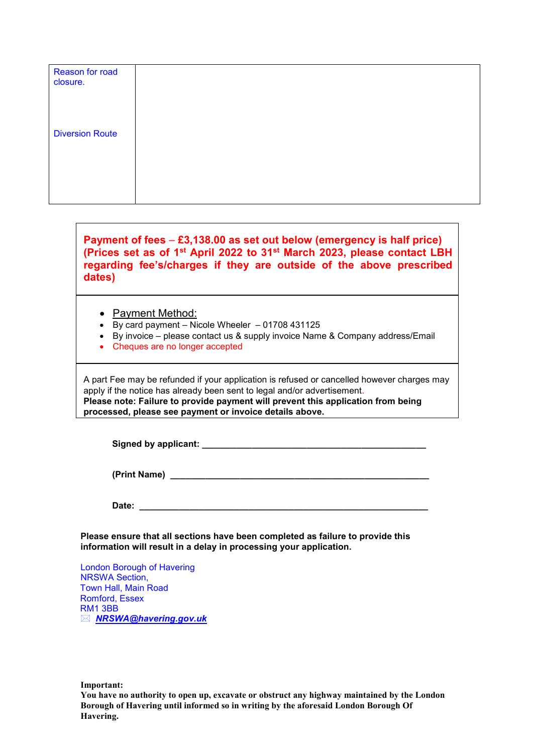| Reason for road<br>closure. |  |  |  |
|-----------------------------|--|--|--|
| <b>Diversion Route</b>      |  |  |  |
|                             |  |  |  |

**Payment of fees** – **£3,138.00 as set out below (emergency is half price) (Prices set as of 1st April 2022 to 31st March 2023, please contact LBH regarding fee's/charges if they are outside of the above prescribed dates)** 

- Payment Method:
- By card payment Nicole Wheeler 01708 431125
- By invoice please contact us & supply invoice Name & Company address/Email
- Cheques are no longer accepted

A part Fee may be refunded if your application is refused or cancelled however charges may apply if the notice has already been sent to legal and/or advertisement. **Please note: Failure to provide payment will prevent this application from being processed, please see payment or invoice details above.** 

**Signed by applicant: \_\_\_\_\_\_\_\_\_\_\_\_\_\_\_\_\_\_\_\_\_\_\_\_\_\_\_\_\_\_\_\_\_\_\_\_\_\_\_\_\_\_\_\_\_** 

**(Print Name) \_\_\_\_\_\_\_\_\_\_\_\_\_\_\_\_\_\_\_\_\_\_\_\_\_\_\_\_\_\_\_\_\_\_\_\_\_\_\_\_\_\_\_\_\_\_\_\_\_\_\_\_** 

**Date: \_\_\_\_\_\_\_\_\_\_\_\_\_\_\_\_\_\_\_\_\_\_\_\_\_\_\_\_\_\_\_\_\_\_\_\_\_\_\_\_\_\_\_\_\_\_\_\_\_\_\_\_\_\_\_\_\_\_** 

**Please ensure that all sections have been completed as failure to provide this information will result in a delay in processing your application.** 

London Borough of Havering NRSWA Section, Town Hall, Main Road Romford, Essex RM1 3BB *NRSWA@havering.gov.uk* 

**Important:**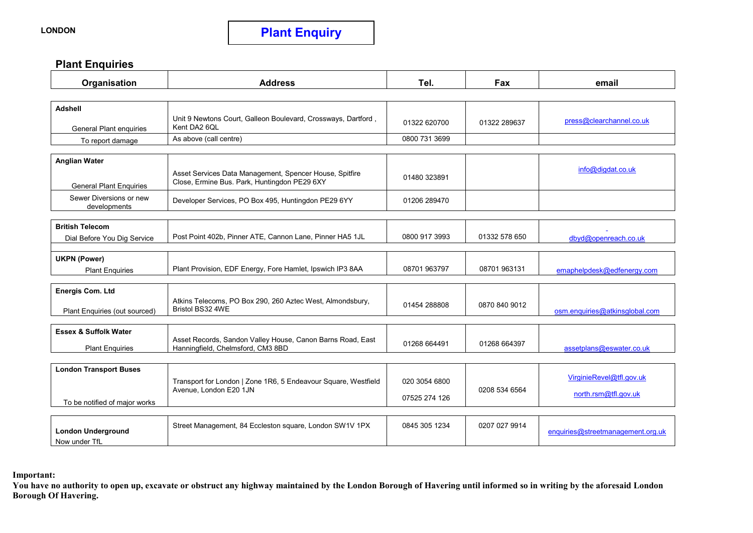### **Plant Enquiries**

| Organisation                                           | <b>Address</b>                                                                                          | Tel.          | Fax           | email                             |
|--------------------------------------------------------|---------------------------------------------------------------------------------------------------------|---------------|---------------|-----------------------------------|
|                                                        |                                                                                                         |               |               |                                   |
| <b>Adshell</b>                                         |                                                                                                         |               |               |                                   |
| <b>General Plant enquiries</b>                         | Unit 9 Newtons Court, Galleon Boulevard, Crossways, Dartford,<br>Kent DA2 6QL                           | 01322 620700  | 01322 289637  | press@clearchannel.co.uk          |
| To report damage                                       | As above (call centre)                                                                                  | 0800 731 3699 |               |                                   |
|                                                        |                                                                                                         |               |               |                                   |
| <b>Anglian Water</b><br><b>General Plant Enquiries</b> | Asset Services Data Management, Spencer House, Spitfire<br>Close, Ermine Bus. Park, Huntingdon PE29 6XY | 01480 323891  |               | info@digdat.co.uk                 |
| Sewer Diversions or new<br>developments                | Developer Services, PO Box 495, Huntingdon PE29 6YY                                                     | 01206 289470  |               |                                   |
|                                                        |                                                                                                         |               |               |                                   |
| <b>British Telecom</b><br>Dial Before You Dig Service  | Post Point 402b, Pinner ATE, Cannon Lane, Pinner HA5 1JL                                                | 0800 917 3993 | 01332 578 650 | dbyd@openreach.co.uk              |
| <b>UKPN (Power)</b>                                    |                                                                                                         |               |               |                                   |
| <b>Plant Enquiries</b>                                 | Plant Provision, EDF Energy, Fore Hamlet, Ipswich IP3 8AA                                               | 08701 963797  | 08701 963131  | emaphelpdesk@edfenergy.com        |
| <b>Energis Com. Ltd</b>                                |                                                                                                         |               |               |                                   |
| Plant Enquiries (out sourced)                          | Atkins Telecoms, PO Box 290, 260 Aztec West, Almondsbury,<br>Bristol BS32 4WE                           | 01454 288808  | 0870 840 9012 | osm.enquiries@atkinsglobal.com    |
|                                                        |                                                                                                         |               |               |                                   |
| <b>Essex &amp; Suffolk Water</b>                       | Asset Records, Sandon Valley House, Canon Barns Road, East                                              |               |               |                                   |
| <b>Plant Enquiries</b>                                 | Hanningfield, Chelmsford, CM3 8BD                                                                       | 01268 664491  | 01268 664397  | assetplans@eswater.co.uk          |
|                                                        |                                                                                                         |               |               |                                   |
| <b>London Transport Buses</b>                          | Transport for London   Zone 1R6, 5 Endeavour Square, Westfield                                          | 020 3054 6800 |               | VirginieRevel@tfl.gov.uk          |
|                                                        | Avenue, London E20 1JN                                                                                  |               | 0208 534 6564 | north.rsm@tfl.gov.uk              |
| To be notified of major works                          |                                                                                                         | 07525 274 126 |               |                                   |
|                                                        |                                                                                                         |               |               |                                   |
| <b>London Underground</b><br>Now under TfL             | Street Management, 84 Eccleston square, London SW1V 1PX                                                 | 0845 305 1234 | 0207 027 9914 | enquiries@streetmanagement.org.uk |

#### **Important:**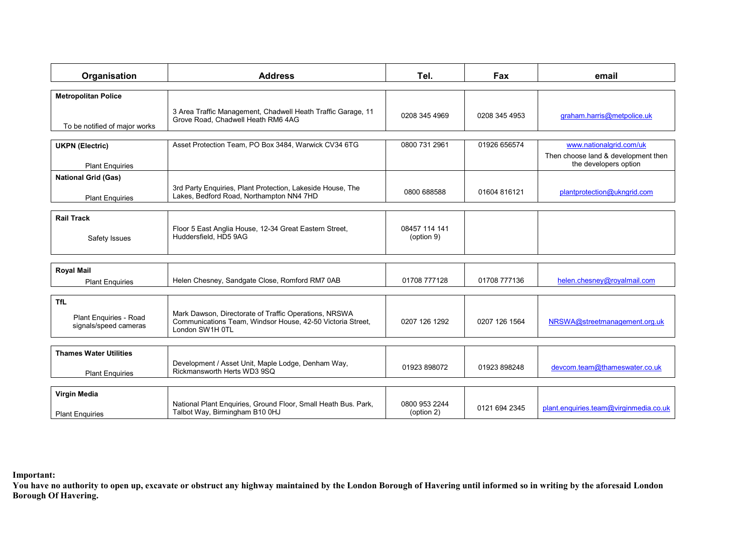| Organisation                                                  | <b>Address</b>                                                                                                                         | Tel.                        | Fax           | email                                                                                   |
|---------------------------------------------------------------|----------------------------------------------------------------------------------------------------------------------------------------|-----------------------------|---------------|-----------------------------------------------------------------------------------------|
| <b>Metropolitan Police</b>                                    |                                                                                                                                        |                             |               |                                                                                         |
| To be notified of major works                                 | 3 Area Traffic Management, Chadwell Heath Traffic Garage, 11<br>Grove Road. Chadwell Heath RM6 4AG                                     | 0208 345 4969               | 0208 345 4953 | graham.harris@metpolice.uk                                                              |
|                                                               |                                                                                                                                        |                             |               |                                                                                         |
| <b>UKPN (Electric)</b><br><b>Plant Enquiries</b>              | Asset Protection Team, PO Box 3484, Warwick CV34 6TG                                                                                   | 0800 731 2961               | 01926 656574  | www.nationalgrid.com/uk<br>Then choose land & development then<br>the developers option |
| <b>National Grid (Gas)</b>                                    |                                                                                                                                        |                             |               |                                                                                         |
| <b>Plant Enquiries</b>                                        | 3rd Party Enquiries, Plant Protection, Lakeside House, The<br>Lakes, Bedford Road, Northampton NN4 7HD                                 | 0800 688588                 | 01604 816121  | plantprotection@ukngrid.com                                                             |
|                                                               |                                                                                                                                        |                             |               |                                                                                         |
| <b>Rail Track</b><br>Safety Issues                            | Floor 5 East Anglia House, 12-34 Great Eastern Street,<br>Huddersfield, HD5 9AG                                                        | 08457 114 141<br>(option 9) |               |                                                                                         |
|                                                               |                                                                                                                                        |                             |               |                                                                                         |
| <b>Royal Mail</b><br><b>Plant Enquiries</b>                   | Helen Chesney, Sandgate Close, Romford RM7 0AB                                                                                         | 01708 777128                | 01708 777136  | helen.chesney@royalmail.com                                                             |
|                                                               |                                                                                                                                        |                             |               |                                                                                         |
| <b>TfL</b><br>Plant Enquiries - Road<br>signals/speed cameras | Mark Dawson, Directorate of Traffic Operations, NRSWA<br>Communications Team, Windsor House, 42-50 Victoria Street,<br>London SW1H 0TL | 0207 126 1292               | 0207 126 1564 | NRSWA@streetmanagement.org.uk                                                           |
|                                                               |                                                                                                                                        |                             |               |                                                                                         |
| <b>Thames Water Utilities</b><br><b>Plant Enquiries</b>       | Development / Asset Unit, Maple Lodge, Denham Way,<br>Rickmansworth Herts WD3 9SQ                                                      | 01923 898072                | 01923 898248  | devcom.team@thameswater.co.uk                                                           |
|                                                               |                                                                                                                                        |                             |               |                                                                                         |
| Virgin Media<br><b>Plant Enquiries</b>                        | National Plant Enquiries, Ground Floor, Small Heath Bus. Park,<br>Talbot Way, Birmingham B10 0HJ                                       | 0800 953 2244<br>(option 2) | 0121 694 2345 | plant.enguiries.team@virginmedia.co.uk                                                  |

#### **Important:**